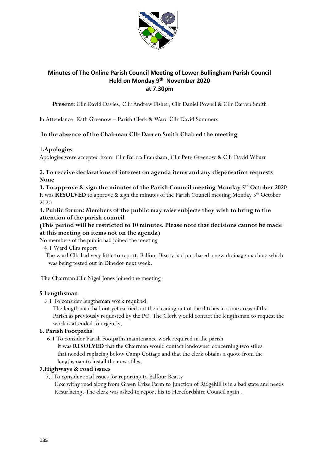

# **Minutes of The Online Parish Council Meeting of Lower Bullingham Parish Council Held on Monday 9 th November 2020 at 7.30pm**

**Present:** Cllr David Davies, Cllr Andrew Fisher, Cllr Daniel Powell & Cllr Darren Smith

In Attendance: Kath Greenow – Parish Clerk & Ward Cllr David Summers

## **In the absence of the Chairman Cllr Darren Smith Chaired the meeting**

## **1.Apologies**

Apologies were accepted from: Cllr Barbra Frankham, Cllr Pete Greenow & Cllr David Whurr

## **2. To receive declarations of interest on agenda items and any dispensation requests None**

**3. To approve & sign the minutes of the Parish Council meeting Monday 5th October 2020**  It was RESOLVED to approve & sign the minutes of the Parish Council meeting Monday 5<sup>th</sup> October 2020

**4. Public forum: Members of the public may raise subjects they wish to bring to the attention of the parish council**

**(This period will be restricted to 10 minutes. Please note that decisions cannot be made at this meeting on items not on the agenda)**

No members of the public had joined the meeting

4.1 Ward Cllrs report

 The ward Cllr had very little to report. Balfour Beatty had purchased a new drainage machine which was being tested out in Dinedor next week.

The Chairman Cllr Nigel Jones joined the meeting

## **5 Lengthsman**

5.1 To consider lengthsman work required.

 The lengthsman had not yet carried out the cleaning out of the ditches in some areas of the Parish as previously requested by the PC. The Clerk would contact the lengthsman to request the work is attended to urgently.

## **6. Parish Footpaths**

6.1 To consider Parish Footpaths maintenance work required in the parish

 It was **RESOLVED** that the Chairman would contact landowner concerning two stiles that needed replacing below Camp Cottage and that the clerk obtains a quote from the lengthsman to install the new stiles.

## **7.Highways & road issues**

7.1To consider road issues for reporting to Balfour Beatty

 Hoarwithy road along from Green Crize Farm to Junction of Ridgehill is in a bad state and needs Resurfacing. The clerk was asked to report his to Herefordshire Council again .